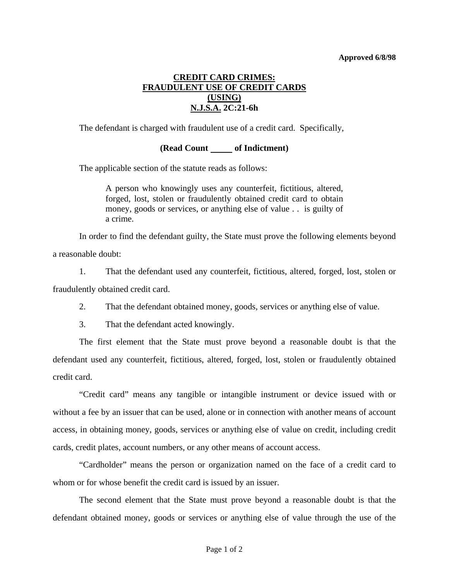## **Approved 6/8/98**

## **CREDIT CARD CRIMES: FRAUDULENT USE OF CREDIT CARDS (USING) N.J.S.A. 2C:21-6h**

The defendant is charged with fraudulent use of a credit card. Specifically,

## **(Read Count of Indictment)**

The applicable section of the statute reads as follows:

A person who knowingly uses any counterfeit, fictitious, altered, forged, lost, stolen or fraudulently obtained credit card to obtain money, goods or services, or anything else of value . . is guilty of a crime.

 In order to find the defendant guilty, the State must prove the following elements beyond a reasonable doubt:

 1. That the defendant used any counterfeit, fictitious, altered, forged, lost, stolen or fraudulently obtained credit card.

2. That the defendant obtained money, goods, services or anything else of value.

3. That the defendant acted knowingly.

 The first element that the State must prove beyond a reasonable doubt is that the defendant used any counterfeit, fictitious, altered, forged, lost, stolen or fraudulently obtained credit card.

 "Credit card" means any tangible or intangible instrument or device issued with or without a fee by an issuer that can be used, alone or in connection with another means of account access, in obtaining money, goods, services or anything else of value on credit, including credit cards, credit plates, account numbers, or any other means of account access.

 "Cardholder" means the person or organization named on the face of a credit card to whom or for whose benefit the credit card is issued by an issuer.

 The second element that the State must prove beyond a reasonable doubt is that the defendant obtained money, goods or services or anything else of value through the use of the